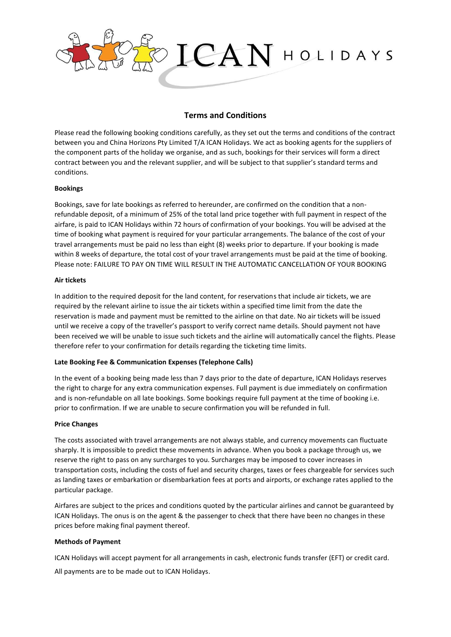

# **Terms and Conditions**

Please read the following booking conditions carefully, as they set out the terms and conditions of the contract between you and China Horizons Pty Limited T/A ICAN Holidays. We act as booking agents for the suppliers of the component parts of the holiday we organise, and as such, bookings for their services will form a direct contract between you and the relevant supplier, and will be subject to that supplier's standard terms and conditions.

## **Bookings**

Bookings, save for late bookings as referred to hereunder, are confirmed on the condition that a nonrefundable deposit, of a minimum of 25% of the total land price together with full payment in respect of the airfare, is paid to ICAN Holidays within 72 hours of confirmation of your bookings. You will be advised at the time of booking what payment is required for your particular arrangements. The balance of the cost of your travel arrangements must be paid no less than eight (8) weeks prior to departure. If your booking is made within 8 weeks of departure, the total cost of your travel arrangements must be paid at the time of booking. Please note: FAILURE TO PAY ON TIME WILL RESULT IN THE AUTOMATIC CANCELLATION OF YOUR BOOKING

### **Air tickets**

In addition to the required deposit for the land content, for reservations that include air tickets, we are required by the relevant airline to issue the air tickets within a specified time limit from the date the reservation is made and payment must be remitted to the airline on that date. No air tickets will be issued until we receive a copy of the traveller's passport to verify correct name details. Should payment not have been received we will be unable to issue such tickets and the airline will automatically cancel the flights. Please therefore refer to your confirmation for details regarding the ticketing time limits.

## **Late Booking Fee & Communication Expenses (Telephone Calls)**

In the event of a booking being made less than 7 days prior to the date of departure, ICAN Holidays reserves the right to charge for any extra communication expenses. Full payment is due immediately on confirmation and is non-refundable on all late bookings. Some bookings require full payment at the time of booking i.e. prior to confirmation. If we are unable to secure confirmation you will be refunded in full.

### **Price Changes**

The costs associated with travel arrangements are not always stable, and currency movements can fluctuate sharply. It is impossible to predict these movements in advance. When you book a package through us, we reserve the right to pass on any surcharges to you. Surcharges may be imposed to cover increases in transportation costs, including the costs of fuel and security charges, taxes or fees chargeable for services such as landing taxes or embarkation or disembarkation fees at ports and airports, or exchange rates applied to the particular package.

Airfares are subject to the prices and conditions quoted by the particular airlines and cannot be guaranteed by ICAN Holidays. The onus is on the agent & the passenger to check that there have been no changes in these prices before making final payment thereof.

## **Methods of Payment**

ICAN Holidays will accept payment for all arrangements in cash, electronic funds transfer (EFT) or credit card. All payments are to be made out to ICAN Holidays.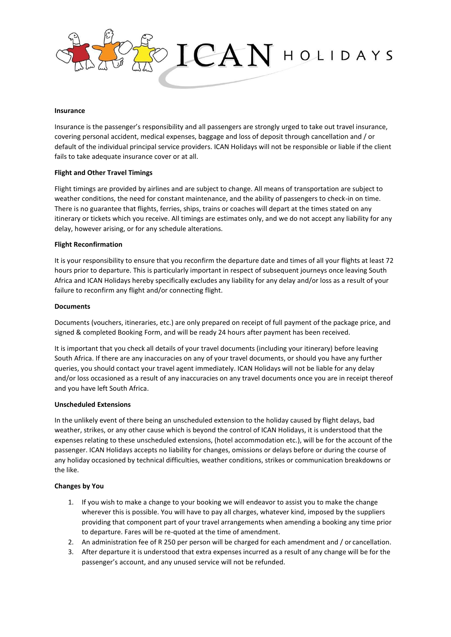

### **Insurance**

Insurance is the passenger's responsibility and all passengers are strongly urged to take out travel insurance, covering personal accident, medical expenses, baggage and loss of deposit through cancellation and / or default of the individual principal service providers. ICAN Holidays will not be responsible or liable if the client fails to take adequate insurance cover or at all.

## **Flight and Other Travel Timings**

Flight timings are provided by airlines and are subject to change. All means of transportation are subject to weather conditions, the need for constant maintenance, and the ability of passengers to check-in on time. There is no guarantee that flights, ferries, ships, trains or coaches will depart at the times stated on any itinerary or tickets which you receive. All timings are estimates only, and we do not accept any liability for any delay, however arising, or for any schedule alterations.

### **Flight Reconfirmation**

It is your responsibility to ensure that you reconfirm the departure date and times of all your flights at least 72 hours prior to departure. This is particularly important in respect of subsequent journeys once leaving South Africa and ICAN Holidays hereby specifically excludes any liability for any delay and/or loss as a result of your failure to reconfirm any flight and/or connecting flight.

### **Documents**

Documents (vouchers, itineraries, etc.) are only prepared on receipt of full payment of the package price, and signed & completed Booking Form, and will be ready 24 hours after payment has been received.

It is important that you check all details of your travel documents (including your itinerary) before leaving South Africa. If there are any inaccuracies on any of your travel documents, or should you have any further queries, you should contact your travel agent immediately. ICAN Holidays will not be liable for any delay and/or loss occasioned as a result of any inaccuracies on any travel documents once you are in receipt thereof and you have left South Africa.

## **Unscheduled Extensions**

In the unlikely event of there being an unscheduled extension to the holiday caused by flight delays, bad weather, strikes, or any other cause which is beyond the control of ICAN Holidays, it is understood that the expenses relating to these unscheduled extensions, (hotel accommodation etc.), will be for the account of the passenger. ICAN Holidays accepts no liability for changes, omissions or delays before or during the course of any holiday occasioned by technical difficulties, weather conditions, strikes or communication breakdowns or the like.

## **Changes by You**

- 1. If you wish to make a change to your booking we will endeavor to assist you to make the change wherever this is possible. You will have to pay all charges, whatever kind, imposed by the suppliers providing that component part of your travel arrangements when amending a booking any time prior to departure. Fares will be re-quoted at the time of amendment.
- 2. An administration fee of R 250 per person will be charged for each amendment and / or cancellation.
- 3. After departure it is understood that extra expenses incurred as a result of any change will be for the passenger's account, and any unused service will not be refunded.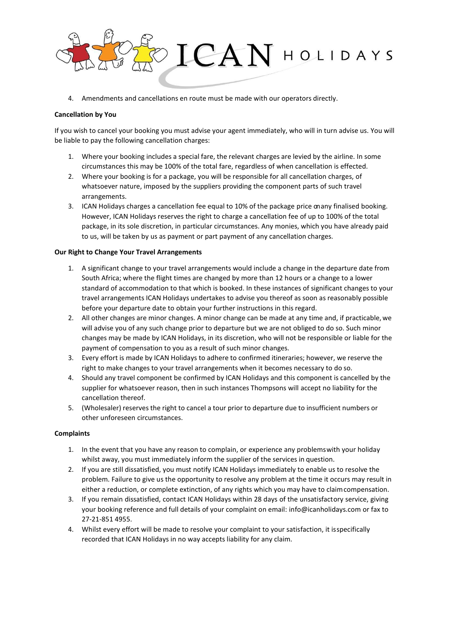

4. Amendments and cancellations en route must be made with our operators directly.

## **Cancellation by You**

If you wish to cancel your booking you must advise your agent immediately, who will in turn advise us. You will be liable to pay the following cancellation charges:

- 1. Where your booking includes a special fare, the relevant charges are levied by the airline. In some circumstances this may be 100% of the total fare, regardless of when cancellation is effected.
- 2. Where your booking is for a package, you will be responsible for all cancellation charges, of whatsoever nature, imposed by the suppliers providing the component parts of such travel arrangements.
- 3. ICAN Holidays charges a cancellation fee equal to 10% of the package price onany finalised booking. However, ICAN Holidays reserves the right to charge a cancellation fee of up to 100% of the total package, in its sole discretion, in particular circumstances. Any monies, which you have already paid to us, will be taken by us as payment or part payment of any cancellation charges.

## **Our Right to Change Your Travel Arrangements**

- 1. A significant change to your travel arrangements would include a change in the departure date from South Africa; where the flight times are changed by more than 12 hours or a change to a lower standard of accommodation to that which is booked. In these instances of significant changes to your travel arrangements ICAN Holidays undertakes to advise you thereof as soon as reasonably possible before your departure date to obtain your further instructions in thisregard.
- 2. All other changes are minor changes. A minor change can be made at any time and, if practicable,we will advise you of any such change prior to departure but we are not obliged to do so. Such minor changes may be made by ICAN Holidays, in its discretion, who will not be responsible or liable for the payment of compensation to you as a result of such minor changes.
- 3. Every effort is made by ICAN Holidays to adhere to confirmed itineraries; however, we reserve the right to make changes to your travel arrangements when it becomes necessary to do so.
- 4. Should any travel component be confirmed by ICAN Holidays and this component is cancelled by the supplier for whatsoever reason, then in such instances Thompsons will accept no liability for the cancellation thereof.
- 5. (Wholesaler) reserves the right to cancel a tour prior to departure due to insufficient numbers or other unforeseen circumstances.

## **Complaints**

- 1. In the event that you have any reason to complain, or experience any problemswith your holiday whilst away, you must immediately inform the supplier of the services in question.
- 2. If you are still dissatisfied, you must notify ICAN Holidays immediately to enable us to resolve the problem. Failure to give us the opportunity to resolve any problem at the time it occurs may result in either a reduction, or complete extinction, of any rights which you may have to claimcompensation.
- 3. If you remain dissatisfied, contact ICAN Holidays within 28 days of the unsatisfactory service, giving your booking reference and full details of your complaint on email: [info@icanholidays.com o](mailto:info@icanholidays.com)r fax to 27-21-851 4955.
- 4. Whilst every effort will be made to resolve your complaint to your satisfaction, it isspecifically recorded that ICAN Holidays in no way accepts liability for any claim.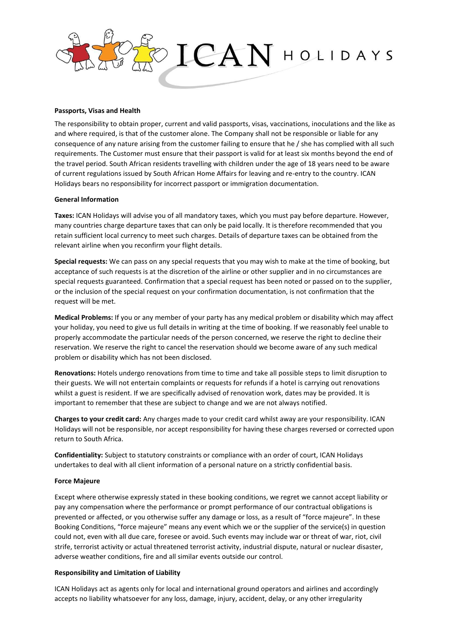

## **Passports, Visas and Health**

The responsibility to obtain proper, current and valid passports, visas, vaccinations, inoculations and the like as and where required, is that of the customer alone. The Company shall not be responsible or liable for any consequence of any nature arising from the customer failing to ensure that he / she has complied with all such requirements. The Customer must ensure that their passport is valid for at least six months beyond the end of the travel period. South African residents travelling with children under the age of 18 years need to be aware of current regulations issued by South African Home Affairs for leaving and re-entry to the country. ICAN Holidays bears no responsibility for incorrect passport or immigration documentation.

### **General Information**

**Taxes:** ICAN Holidays will advise you of all mandatory taxes, which you must pay before departure. However, many countries charge departure taxes that can only be paid locally. It is therefore recommended that you retain sufficient local currency to meet such charges. Details of departure taxes can be obtained from the relevant airline when you reconfirm your flight details.

**Special requests:** We can pass on any special requests that you may wish to make at the time of booking, but acceptance of such requests is at the discretion of the airline or other supplier and in no circumstances are special requests guaranteed. Confirmation that a special request has been noted or passed on to the supplier, or the inclusion of the special request on your confirmation documentation, is not confirmation that the request will be met.

**Medical Problems:** If you or any member of your party has any medical problem or disability which may affect your holiday, you need to give us full details in writing at the time of booking. If we reasonably feel unable to properly accommodate the particular needs of the person concerned, we reserve the right to decline their reservation. We reserve the right to cancel the reservation should we become aware of any such medical problem or disability which has not been disclosed.

**Renovations:** Hotels undergo renovations from time to time and take all possible steps to limit disruption to their guests. We will not entertain complaints or requests for refunds if a hotel is carrying out renovations whilst a guest is resident. If we are specifically advised of renovation work, dates may be provided. It is important to remember that these are subject to change and we are not always notified.

**Charges to your credit card:** Any charges made to your credit card whilst away are your responsibility. ICAN Holidays will not be responsible, nor accept responsibility for having these charges reversed or corrected upon return to South Africa.

**Confidentiality:** Subject to statutory constraints or compliance with an order of court, ICAN Holidays undertakes to deal with all client information of a personal nature on a strictly confidential basis.

### **Force Majeure**

Except where otherwise expressly stated in these booking conditions, we regret we cannot accept liability or pay any compensation where the performance or prompt performance of our contractual obligations is prevented or affected, or you otherwise suffer any damage or loss, as a result of "force majeure". In these Booking Conditions, "force majeure" means any event which we or the supplier of the service(s) in question could not, even with all due care, foresee or avoid. Such events may include war or threat of war, riot, civil strife, terrorist activity or actual threatened terrorist activity, industrial dispute, natural or nuclear disaster, adverse weather conditions, fire and all similar events outside our control.

### **Responsibility and Limitation of Liability**

ICAN Holidays act as agents only for local and international ground operators and airlines and accordingly accepts no liability whatsoever for any loss, damage, injury, accident, delay, or any other irregularity